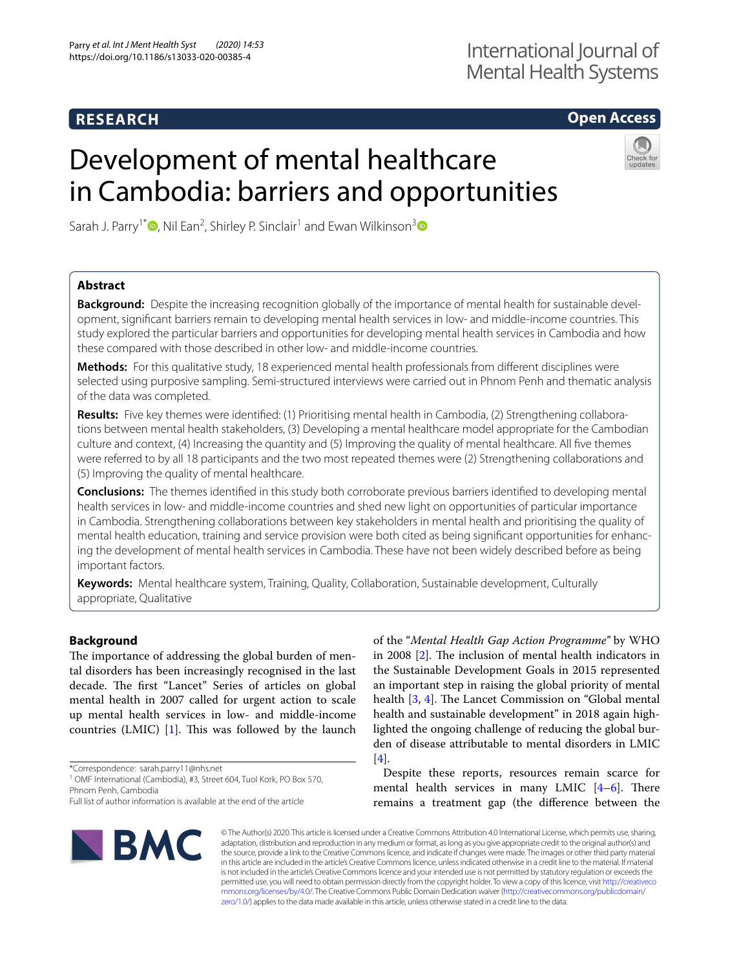# **RESEARCH**

# **Open Access**

# Development of mental healthcare in Cambodia: barriers and opportunities



Sarah J. Parry<sup>1\*</sup><sup>®</sup>[,](http://orcid.org/0000-0002-9730-3547) Nil Ean<sup>2</sup>, Shirley P. Sinclair<sup>1</sup> and Ewan Wilkinson<sup>[3](http://orcid.org/0000-0002-2167-8756)</sup>

# **Abstract**

**Background:** Despite the increasing recognition globally of the importance of mental health for sustainable development, signifcant barriers remain to developing mental health services in low- and middle-income countries. This study explored the particular barriers and opportunities for developing mental health services in Cambodia and how these compared with those described in other low- and middle-income countries.

**Methods:** For this qualitative study, 18 experienced mental health professionals from diferent disciplines were selected using purposive sampling. Semi-structured interviews were carried out in Phnom Penh and thematic analysis of the data was completed.

**Results:** Five key themes were identifed: (1) Prioritising mental health in Cambodia, (2) Strengthening collaborations between mental health stakeholders, (3) Developing a mental healthcare model appropriate for the Cambodian culture and context, (4) Increasing the quantity and (5) Improving the quality of mental healthcare. All fve themes were referred to by all 18 participants and the two most repeated themes were (2) Strengthening collaborations and (5) Improving the quality of mental healthcare.

**Conclusions:** The themes identifed in this study both corroborate previous barriers identifed to developing mental health services in low- and middle-income countries and shed new light on opportunities of particular importance in Cambodia. Strengthening collaborations between key stakeholders in mental health and prioritising the quality of mental health education, training and service provision were both cited as being signifcant opportunities for enhancing the development of mental health services in Cambodia. These have not been widely described before as being important factors.

**Keywords:** Mental healthcare system, Training, Quality, Collaboration, Sustainable development, Culturally appropriate, Qualitative

# **Background**

The importance of addressing the global burden of mental disorders has been increasingly recognised in the last decade. The first "Lancet" Series of articles on global mental health in 2007 called for urgent action to scale up mental health services in low- and middle-income countries  $(LMIC)$  [[1\]](#page-11-0). This was followed by the launch

\*Correspondence: sarah.parry11@nhs.net

<sup>1</sup> OMF International (Cambodia), #3, Street 604, Tuol Kork, PO Box 570, Phnom Penh, Cambodia

of the "*Mental Health Gap Action Programme"* by WHO in 2008  $[2]$  $[2]$ . The inclusion of mental health indicators in the Sustainable Development Goals in 2015 represented an important step in raising the global priority of mental health [\[3](#page-11-2), [4](#page-11-3)]. The Lancet Commission on "Global mental health and sustainable development" in 2018 again highlighted the ongoing challenge of reducing the global burden of disease attributable to mental disorders in LMIC [[4\]](#page-11-3).

Despite these reports, resources remain scarce for mental health services in many LMIC  $[4-6]$  $[4-6]$  $[4-6]$ . There remains a treatment gap (the diference between the



© The Author(s) 2020. This article is licensed under a Creative Commons Attribution 4.0 International License, which permits use, sharing, adaptation, distribution and reproduction in any medium or format, as long as you give appropriate credit to the original author(s) and the source, provide a link to the Creative Commons licence, and indicate if changes were made. The images or other third party material in this article are included in the article's Creative Commons licence, unless indicated otherwise in a credit line to the material. If material is not included in the article's Creative Commons licence and your intended use is not permitted by statutory regulation or exceeds the permitted use, you will need to obtain permission directly from the copyright holder. To view a copy of this licence, visit [http://creativeco](http://creativecommons.org/licenses/by/4.0/) [mmons.org/licenses/by/4.0/.](http://creativecommons.org/licenses/by/4.0/) The Creative Commons Public Domain Dedication waiver ([http://creativecommons.org/publicdomain/](http://creativecommons.org/publicdomain/zero/1.0/) [zero/1.0/\)](http://creativecommons.org/publicdomain/zero/1.0/) applies to the data made available in this article, unless otherwise stated in a credit line to the data.

Full list of author information is available at the end of the article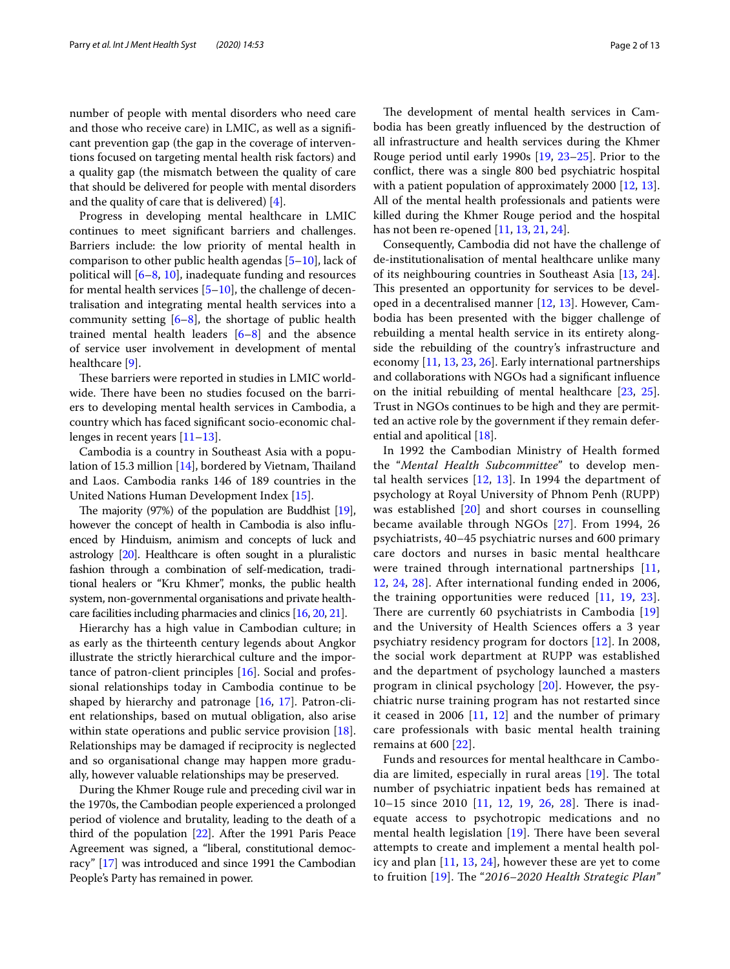number of people with mental disorders who need care and those who receive care) in LMIC, as well as a signifcant prevention gap (the gap in the coverage of interventions focused on targeting mental health risk factors) and a quality gap (the mismatch between the quality of care that should be delivered for people with mental disorders and the quality of care that is delivered) [\[4\]](#page-11-3).

Progress in developing mental healthcare in LMIC continues to meet signifcant barriers and challenges. Barriers include: the low priority of mental health in comparison to other public health agendas [[5](#page-11-5)[–10](#page-11-6)], lack of political will [\[6](#page-11-4)–[8,](#page-11-7) [10\]](#page-11-6), inadequate funding and resources for mental health services  $[5-10]$  $[5-10]$  $[5-10]$ , the challenge of decentralisation and integrating mental health services into a community setting  $[6-8]$  $[6-8]$ , the shortage of public health trained mental health leaders [\[6](#page-11-4)[–8](#page-11-7)] and the absence of service user involvement in development of mental healthcare [[9\]](#page-11-8).

These barriers were reported in studies in LMIC worldwide. There have been no studies focused on the barriers to developing mental health services in Cambodia, a country which has faced signifcant socio-economic challenges in recent years [\[11](#page-11-9)[–13](#page-11-10)].

Cambodia is a country in Southeast Asia with a popu-lation of 15.3 million [\[14](#page-11-11)], bordered by Vietnam, Thailand and Laos. Cambodia ranks 146 of 189 countries in the United Nations Human Development Index [[15\]](#page-11-12).

The majority  $(97%)$  of the population are Buddhist  $[19]$  $[19]$ , however the concept of health in Cambodia is also infuenced by Hinduism, animism and concepts of luck and astrology [[20](#page-11-14)]. Healthcare is often sought in a pluralistic fashion through a combination of self-medication, traditional healers or "Kru Khmer", monks, the public health system, non-governmental organisations and private healthcare facilities including pharmacies and clinics [[16](#page-11-15), [20,](#page-11-14) [21](#page-11-16)].

Hierarchy has a high value in Cambodian culture; in as early as the thirteenth century legends about Angkor illustrate the strictly hierarchical culture and the importance of patron-client principles [[16\]](#page-11-15). Social and professional relationships today in Cambodia continue to be shaped by hierarchy and patronage [[16](#page-11-15), [17](#page-11-17)]. Patron-client relationships, based on mutual obligation, also arise within state operations and public service provision [\[18](#page-11-18)]. Relationships may be damaged if reciprocity is neglected and so organisational change may happen more gradually, however valuable relationships may be preserved.

During the Khmer Rouge rule and preceding civil war in the 1970s, the Cambodian people experienced a prolonged period of violence and brutality, leading to the death of a third of the population [\[22\]](#page-11-19). After the 1991 Paris Peace Agreement was signed, a "liberal, constitutional democracy" [[17](#page-11-17)] was introduced and since 1991 the Cambodian People's Party has remained in power.

The development of mental health services in Cambodia has been greatly infuenced by the destruction of all infrastructure and health services during the Khmer Rouge period until early 1990s [[19,](#page-11-13) [23–](#page-11-20)[25\]](#page-11-21). Prior to the confict, there was a single 800 bed psychiatric hospital with a patient population of approximately 2000 [[12](#page-11-22), [13](#page-11-10)]. All of the mental health professionals and patients were killed during the Khmer Rouge period and the hospital has not been re-opened [[11](#page-11-9), [13,](#page-11-10) [21](#page-11-16), [24\]](#page-11-23).

Consequently, Cambodia did not have the challenge of de-institutionalisation of mental healthcare unlike many of its neighbouring countries in Southeast Asia [\[13,](#page-11-10) [24](#page-11-23)]. This presented an opportunity for services to be developed in a decentralised manner [\[12](#page-11-22), [13\]](#page-11-10). However, Cambodia has been presented with the bigger challenge of rebuilding a mental health service in its entirety alongside the rebuilding of the country's infrastructure and economy [[11](#page-11-9), [13,](#page-11-10) [23](#page-11-20), [26\]](#page-11-24). Early international partnerships and collaborations with NGOs had a signifcant infuence on the initial rebuilding of mental healthcare [[23,](#page-11-20) [25](#page-11-21)]. Trust in NGOs continues to be high and they are permitted an active role by the government if they remain deferential and apolitical [\[18](#page-11-18)].

In 1992 the Cambodian Ministry of Health formed the "*Mental Health Subcommittee*" to develop mental health services [[12](#page-11-22), [13](#page-11-10)]. In 1994 the department of psychology at Royal University of Phnom Penh (RUPP) was established [[20](#page-11-14)] and short courses in counselling became available through NGOs [[27\]](#page-11-25). From 1994, 26 psychiatrists, 40–45 psychiatric nurses and 600 primary care doctors and nurses in basic mental healthcare were trained through international partnerships [\[11](#page-11-9), [12,](#page-11-22) [24,](#page-11-23) [28\]](#page-11-26). After international funding ended in 2006, the training opportunities were reduced [[11](#page-11-9), [19](#page-11-13), [23](#page-11-20)]. There are currently 60 psychiatrists in Cambodia  $[19]$  $[19]$ and the University of Health Sciences offers a 3 year psychiatry residency program for doctors [[12](#page-11-22)]. In 2008, the social work department at RUPP was established and the department of psychology launched a masters program in clinical psychology [[20\]](#page-11-14). However, the psychiatric nurse training program has not restarted since it ceased in 2006  $[11, 12]$  $[11, 12]$  $[11, 12]$  $[11, 12]$  $[11, 12]$  and the number of primary care professionals with basic mental health training remains at 600 [[22](#page-11-19)].

Funds and resources for mental healthcare in Cambodia are limited, especially in rural areas  $[19]$  $[19]$ . The total number of psychiatric inpatient beds has remained at 10–15 since 2010 [\[11](#page-11-9), [12](#page-11-22), [19](#page-11-13), [26,](#page-11-24) [28\]](#page-11-26). There is inadequate access to psychotropic medications and no mental health legislation  $[19]$  $[19]$ . There have been several attempts to create and implement a mental health policy and plan [[11](#page-11-9), [13](#page-11-10), [24](#page-11-23)], however these are yet to come to fruition [[19\]](#page-11-13). The "2016–2020 Health Strategic Plan"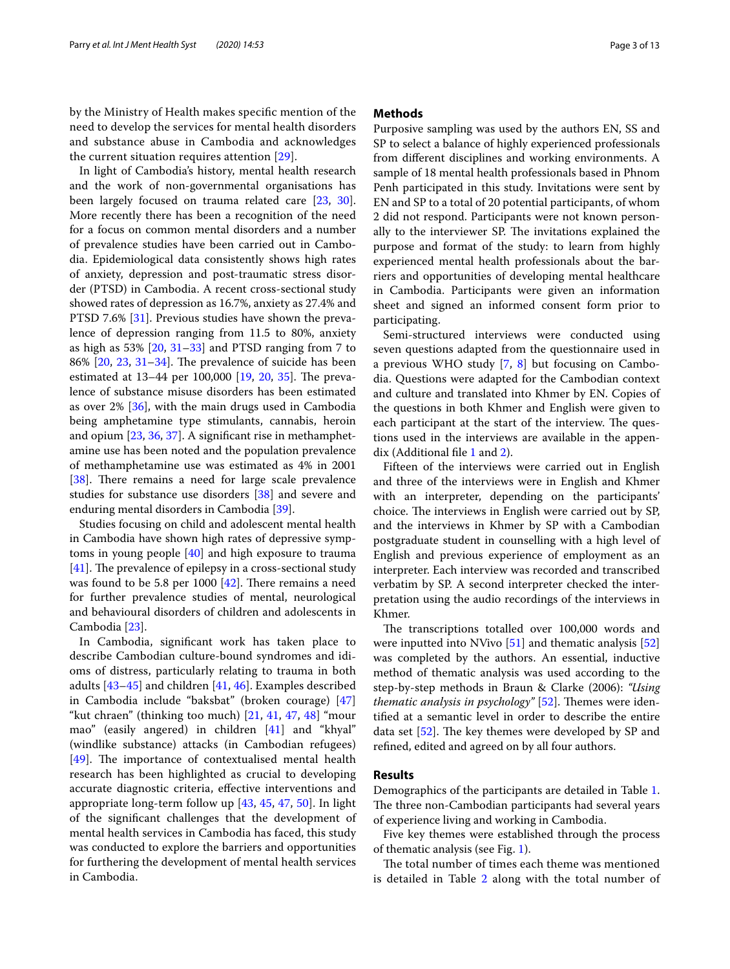by the Ministry of Health makes specifc mention of the need to develop the services for mental health disorders and substance abuse in Cambodia and acknowledges the current situation requires attention [[29](#page-11-27)].

In light of Cambodia's history, mental health research and the work of non-governmental organisations has been largely focused on trauma related care [\[23](#page-11-20), [30](#page-11-28)]. More recently there has been a recognition of the need for a focus on common mental disorders and a number of prevalence studies have been carried out in Cambodia. Epidemiological data consistently shows high rates of anxiety, depression and post-traumatic stress disorder (PTSD) in Cambodia. A recent cross-sectional study showed rates of depression as 16.7%, anxiety as 27.4% and PTSD 7.6% [[31\]](#page-12-0). Previous studies have shown the prevalence of depression ranging from 11.5 to 80%, anxiety as high as 53% [[20,](#page-11-14) [31–](#page-12-0)[33\]](#page-12-1) and PTSD ranging from 7 to  $86\%$  [ $20$ ,  $23$ ,  $31-34$  $31-34$ ]. The prevalence of suicide has been estimated at  $13-44$  per 100,000 [[19](#page-11-13), [20,](#page-11-14) [35\]](#page-12-3). The prevalence of substance misuse disorders has been estimated as over 2% [[36\]](#page-12-4), with the main drugs used in Cambodia being amphetamine type stimulants, cannabis, heroin and opium [\[23](#page-11-20), [36,](#page-12-4) [37](#page-12-5)]. A signifcant rise in methamphetamine use has been noted and the population prevalence of methamphetamine use was estimated as 4% in 2001 [[38\]](#page-12-6). There remains a need for large scale prevalence studies for substance use disorders [\[38](#page-12-6)] and severe and enduring mental disorders in Cambodia [\[39](#page-12-7)].

Studies focusing on child and adolescent mental health in Cambodia have shown high rates of depressive symptoms in young people [[40](#page-12-8)] and high exposure to trauma  $[41]$  $[41]$ . The prevalence of epilepsy in a cross-sectional study was found to be 5.8 per 1000  $[42]$ . There remains a need for further prevalence studies of mental, neurological and behavioural disorders of children and adolescents in Cambodia [[23\]](#page-11-20).

In Cambodia, signifcant work has taken place to describe Cambodian culture-bound syndromes and idioms of distress, particularly relating to trauma in both adults [\[43](#page-12-11)[–45](#page-12-12)] and children [\[41](#page-12-9), [46\]](#page-12-13). Examples described in Cambodia include "baksbat" (broken courage) [\[47](#page-12-14)] "kut chraen" (thinking too much) [\[21](#page-11-16), [41,](#page-12-9) [47,](#page-12-14) [48](#page-12-15)] "mour mao" (easily angered) in children [\[41](#page-12-9)] and "khyal" (windlike substance) attacks (in Cambodian refugees)  $[49]$  $[49]$ . The importance of contextualised mental health research has been highlighted as crucial to developing accurate diagnostic criteria, efective interventions and appropriate long-term follow up [\[43,](#page-12-11) [45,](#page-12-12) [47,](#page-12-14) [50\]](#page-12-17). In light of the signifcant challenges that the development of mental health services in Cambodia has faced, this study was conducted to explore the barriers and opportunities for furthering the development of mental health services in Cambodia.

#### **Methods**

Purposive sampling was used by the authors EN, SS and SP to select a balance of highly experienced professionals from diferent disciplines and working environments. A sample of 18 mental health professionals based in Phnom Penh participated in this study. Invitations were sent by EN and SP to a total of 20 potential participants, of whom 2 did not respond. Participants were not known personally to the interviewer SP. The invitations explained the purpose and format of the study: to learn from highly experienced mental health professionals about the barriers and opportunities of developing mental healthcare in Cambodia. Participants were given an information sheet and signed an informed consent form prior to participating.

Semi-structured interviews were conducted using seven questions adapted from the questionnaire used in a previous WHO study [[7,](#page-11-29) [8\]](#page-11-7) but focusing on Cambodia. Questions were adapted for the Cambodian context and culture and translated into Khmer by EN. Copies of the questions in both Khmer and English were given to each participant at the start of the interview. The questions used in the interviews are available in the appendix (Additional fle [1](#page-10-0) and [2](#page-10-1)).

Fifteen of the interviews were carried out in English and three of the interviews were in English and Khmer with an interpreter, depending on the participants' choice. The interviews in English were carried out by SP, and the interviews in Khmer by SP with a Cambodian postgraduate student in counselling with a high level of English and previous experience of employment as an interpreter. Each interview was recorded and transcribed verbatim by SP. A second interpreter checked the interpretation using the audio recordings of the interviews in Khmer.

The transcriptions totalled over 100,000 words and were inputted into NVivo [[51\]](#page-12-18) and thematic analysis [[52](#page-12-19)] was completed by the authors. An essential, inductive method of thematic analysis was used according to the step-by-step methods in Braun & Clarke (2006): *"Using thematic analysis in psychology"* [\[52\]](#page-12-19). Themes were identifed at a semantic level in order to describe the entire data set  $[52]$ . The key themes were developed by SP and refned, edited and agreed on by all four authors.

## **Results**

Demographics of the participants are detailed in Table [1](#page-3-0). The three non-Cambodian participants had several years of experience living and working in Cambodia.

Five key themes were established through the process of thematic analysis (see Fig. [1\)](#page-3-1).

The total number of times each theme was mentioned is detailed in Table [2](#page-4-0) along with the total number of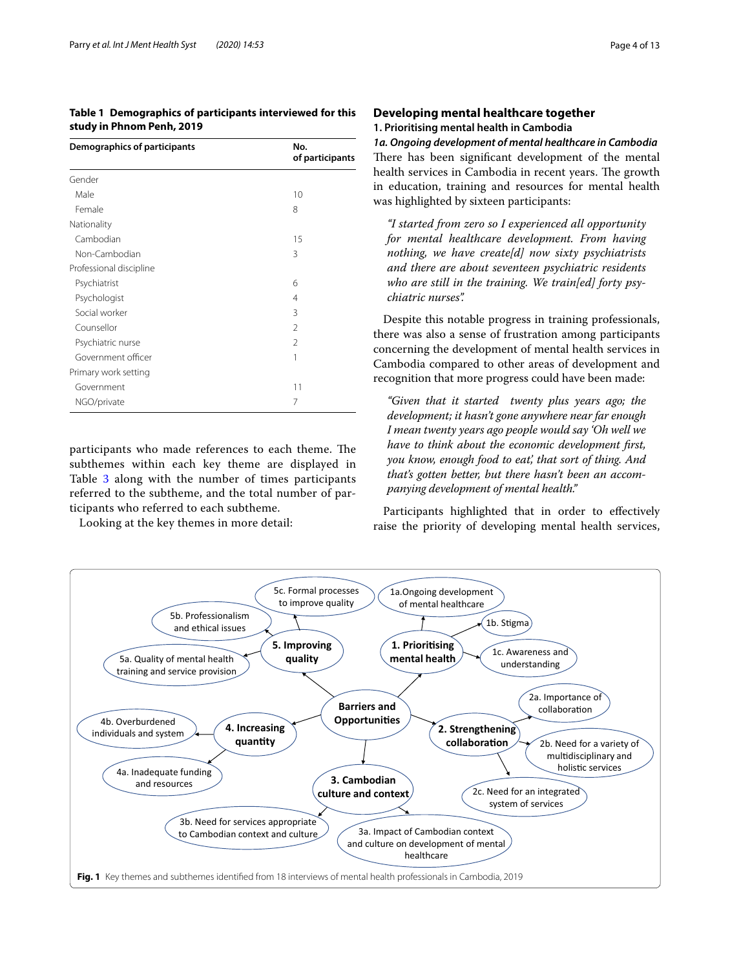## <span id="page-3-0"></span>**Table 1 Demographics of participants interviewed for this study in Phnom Penh, 2019**

| Gender                  |                |
|-------------------------|----------------|
| Male                    | 10             |
| Female                  | 8              |
| Nationality             |                |
| Cambodian               | 15             |
| Non-Cambodian           | 3              |
| Professional discipline |                |
| Psychiatrist            | 6              |
| Psychologist            | 4              |
| Social worker           | 3              |
| Counsellor              | $\mathfrak{D}$ |
| Psychiatric nurse       | 2              |
| Government officer      | 1              |
| Primary work setting    |                |
| Government              | 11             |
| NGO/private             | 7              |

participants who made references to each theme. The subthemes within each key theme are displayed in Table [3](#page-4-1) along with the number of times participants referred to the subtheme, and the total number of participants who referred to each subtheme.

Looking at the key themes in more detail:

# **Developing mental healthcare together 1. Prioritising mental health in Cambodia**

*1a. Ongoing development of mental healthcare in Cambodia* There has been significant development of the mental health services in Cambodia in recent years. The growth in education, training and resources for mental health was highlighted by sixteen participants:

*"I started from zero so I experienced all opportunity for mental healthcare development. From having nothing, we have create[d] now sixty psychiatrists and there are about seventeen psychiatric residents who are still in the training. We train[ed] forty psychiatric nurses".*

Despite this notable progress in training professionals, there was also a sense of frustration among participants concerning the development of mental health services in Cambodia compared to other areas of development and recognition that more progress could have been made:

*"Given that it started twenty plus years ago; the development; it hasn't gone anywhere near far enough I mean twenty years ago people would say 'Oh well we have to think about the economic development frst, you know, enough food to eat', that sort of thing. And that's gotten better, but there hasn't been an accompanying development of mental health."*

Participants highlighted that in order to efectively raise the priority of developing mental health services,

<span id="page-3-1"></span>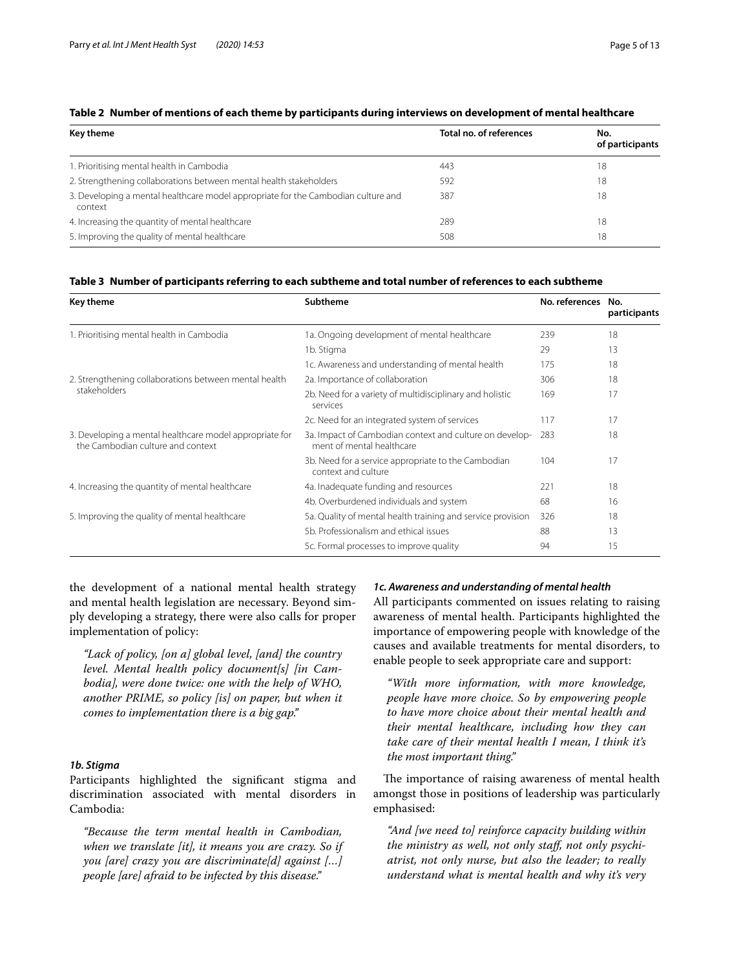| Key theme                                                                                    | Total no. of references | No.<br>of participants |  |
|----------------------------------------------------------------------------------------------|-------------------------|------------------------|--|
| 1. Prioritising mental health in Cambodia                                                    | 443                     | 18                     |  |
| 2. Strengthening collaborations between mental health stakeholders                           | 592                     | 18                     |  |
| 3. Developing a mental healthcare model appropriate for the Cambodian culture and<br>context | 387                     | 18                     |  |
| 4. Increasing the quantity of mental healthcare                                              | 289                     | 18                     |  |
| 5. Improving the quality of mental healthcare                                                | 508                     | 18                     |  |

#### <span id="page-4-0"></span>**Table 2 Number of mentions of each theme by participants during interviews on development of mental healthcare**

## <span id="page-4-1"></span>**Table 3 Number of participants referring to each subtheme and total number of references to each subtheme**

| Key theme                                                                                    | <b>Subtheme</b>                                                                      | No. references | No.<br>participants |
|----------------------------------------------------------------------------------------------|--------------------------------------------------------------------------------------|----------------|---------------------|
| 1. Prioritising mental health in Cambodia                                                    | 1a. Ongoing development of mental healthcare                                         | 239            | 18                  |
|                                                                                              | 1b. Stigma                                                                           | 29             | 13                  |
|                                                                                              | 1c. Awareness and understanding of mental health                                     | 175            | 18                  |
| 2. Strengthening collaborations between mental health                                        | 2a. Importance of collaboration                                                      | 306            | 18                  |
| stakeholders                                                                                 | 2b. Need for a variety of multidisciplinary and holistic<br>services                 | 169            | 17                  |
|                                                                                              | 2c. Need for an integrated system of services                                        | 117            | 17                  |
| 3. Developing a mental healthcare model appropriate for<br>the Cambodian culture and context | 3a. Impact of Cambodian context and culture on develop-<br>ment of mental healthcare | 283            | 18                  |
|                                                                                              | 3b. Need for a service appropriate to the Cambodian<br>context and culture           | 104            | 17                  |
| 4. Increasing the quantity of mental healthcare                                              | 4a. Inadequate funding and resources                                                 | 221            | 18                  |
|                                                                                              | 4b. Overburdened individuals and system                                              | 68             | 16                  |
| 5. Improving the quality of mental healthcare                                                | 5a. Quality of mental health training and service provision                          | 326            | 18                  |
|                                                                                              | 5b. Professionalism and ethical issues                                               | 88             | 13                  |
|                                                                                              | 5c. Formal processes to improve quality                                              | 94             | 15                  |

the development of a national mental health strategy and mental health legislation are necessary. Beyond simply developing a strategy, there were also calls for proper implementation of policy:

*"Lack of policy, [on a] global level, [and] the country level. Mental health policy document[s] [in Cambodia], were done twice: one with the help of WHO, another PRIME, so policy [is] on paper, but when it comes to implementation there is a big gap."*

#### *1b. Stigma*

Participants highlighted the signifcant stigma and discrimination associated with mental disorders in Cambodia:

*"Because the term mental health in Cambodian, when we translate [it], it means you are crazy. So if you [are] crazy you are discriminate[d] against […] people [are] afraid to be infected by this disease."*

#### *1c. Awareness and understanding of mental health*

All participants commented on issues relating to raising awareness of mental health. Participants highlighted the importance of empowering people with knowledge of the causes and available treatments for mental disorders, to enable people to seek appropriate care and support:

*"With more information, with more knowledge, people have more choice. So by empowering people to have more choice about their mental health and their mental healthcare, including how they can take care of their mental health I mean, I think it's the most important thing."*

The importance of raising awareness of mental health amongst those in positions of leadership was particularly emphasised:

*"And [we need to] reinforce capacity building within the ministry as well, not only staf, not only psychiatrist, not only nurse, but also the leader; to really understand what is mental health and why it's very*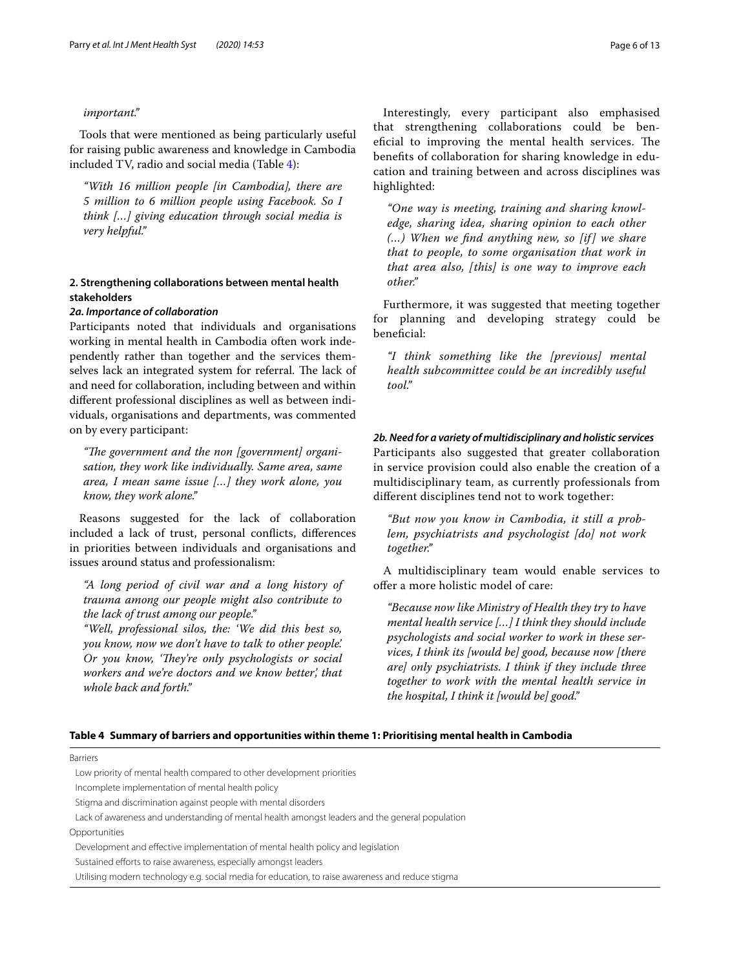#### *important."*

Tools that were mentioned as being particularly useful for raising public awareness and knowledge in Cambodia included TV, radio and social media (Table [4\)](#page-5-0):

*"With 16 million people [in Cambodia], there are 5 million to 6 million people using Facebook. So I think […] giving education through social media is very helpful."*

## **2. Strengthening collaborations between mental health stakeholders**

#### *2a. Importance of collaboration*

Participants noted that individuals and organisations working in mental health in Cambodia often work independently rather than together and the services themselves lack an integrated system for referral. The lack of and need for collaboration, including between and within diferent professional disciplines as well as between individuals, organisations and departments, was commented on by every participant:

"The government and the non [government] organi*sation, they work like individually. Same area, same area, I mean same issue […] they work alone, you know, they work alone."*

Reasons suggested for the lack of collaboration included a lack of trust, personal conficts, diferences in priorities between individuals and organisations and issues around status and professionalism:

*"A long period of civil war and a long history of trauma among our people might also contribute to the lack of trust among our people."*

*"Well, professional silos, the: 'We did this best so, you know, now we don't have to talk to other people'. Or you know, 'They're only psychologists or social workers and we're doctors and we know better', that whole back and forth."*

Interestingly, every participant also emphasised that strengthening collaborations could be beneficial to improving the mental health services. The benefts of collaboration for sharing knowledge in education and training between and across disciplines was highlighted:

*"One way is meeting, training and sharing knowledge, sharing idea, sharing opinion to each other (…) When we fnd anything new, so [if ] we share that to people, to some organisation that work in that area also, [this] is one way to improve each other."*

Furthermore, it was suggested that meeting together for planning and developing strategy could be beneficial:

*"I think something like the [previous] mental health subcommittee could be an incredibly useful tool."*

*2b. Need for a variety of multidisciplinary and holistic services* Participants also suggested that greater collaboration in service provision could also enable the creation of a multidisciplinary team, as currently professionals from diferent disciplines tend not to work together:

*"But now you know in Cambodia, it still a problem, psychiatrists and psychologist [do] not work together."*

A multidisciplinary team would enable services to offer a more holistic model of care:

*"Because now like Ministry of Health they try to have mental health service […] I think they should include psychologists and social worker to work in these services, I think its [would be] good, because now [there are] only psychiatrists. I think if they include three together to work with the mental health service in the hospital, I think it [would be] good."*

#### <span id="page-5-0"></span>**Table 4 Summary of barriers and opportunities within theme 1: Prioritising mental health in Cambodia**

Barriers

Low priority of mental health compared to other development priorities

Incomplete implementation of mental health policy

Stigma and discrimination against people with mental disorders

Opportunities

Development and efective implementation of mental health policy and legislation

Sustained efforts to raise awareness, especially amongst leaders

Utilising modern technology e.g. social media for education, to raise awareness and reduce stigma

Lack of awareness and understanding of mental health amongst leaders and the general population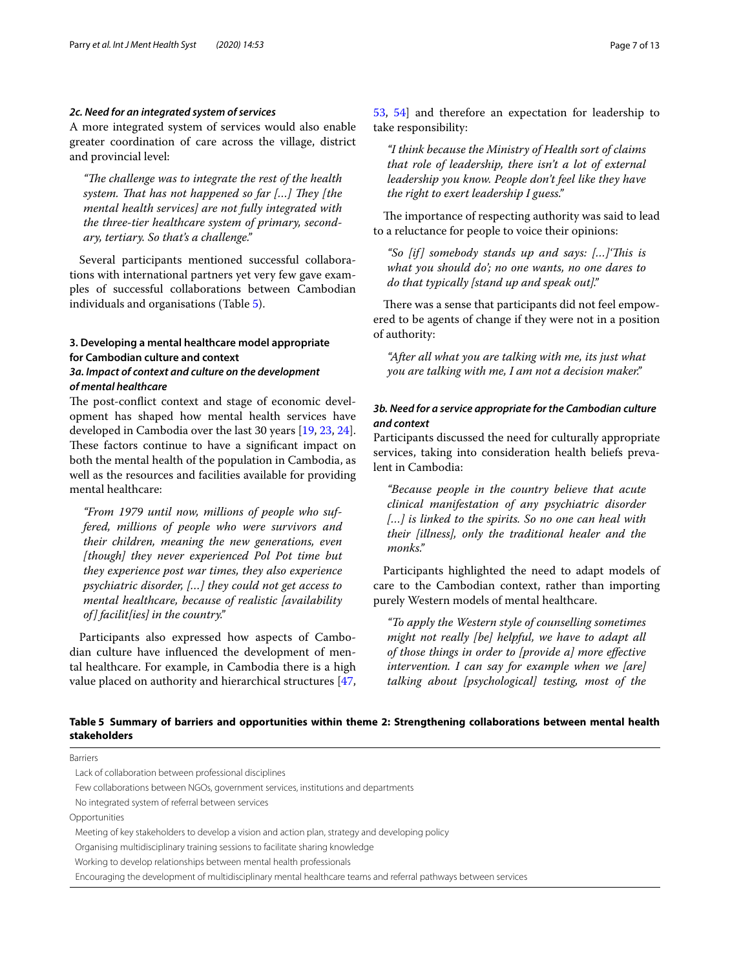### *2c. Need for an integrated system of services*

A more integrated system of services would also enable greater coordination of care across the village, district and provincial level:

"The challenge was to integrate the rest of the health system. That has not happened so far [...] They [the *mental health services] are not fully integrated with the three-tier healthcare system of primary, secondary, tertiary. So that's a challenge."*

Several participants mentioned successful collaborations with international partners yet very few gave examples of successful collaborations between Cambodian individuals and organisations (Table [5](#page-6-0)).

# **3. Developing a mental healthcare model appropriate for Cambodian culture and context**

## *3a. Impact of context and culture on the development of mental healthcare*

The post-conflict context and stage of economic development has shaped how mental health services have developed in Cambodia over the last 30 years [[19](#page-11-13), [23,](#page-11-20) [24](#page-11-23)]. These factors continue to have a significant impact on both the mental health of the population in Cambodia, as well as the resources and facilities available for providing mental healthcare:

*"From 1979 until now, millions of people who suffered, millions of people who were survivors and their children, meaning the new generations, even [though] they never experienced Pol Pot time but they experience post war times, they also experience psychiatric disorder, […] they could not get access to mental healthcare, because of realistic [availability of] facilit[ies] in the country."*

Participants also expressed how aspects of Cambodian culture have infuenced the development of mental healthcare. For example, in Cambodia there is a high value placed on authority and hierarchical structures [\[47](#page-12-14), [53,](#page-12-20) [54](#page-12-21)] and therefore an expectation for leadership to take responsibility:

*"I think because the Ministry of Health sort of claims that role of leadership, there isn't a lot of external leadership you know. People don't feel like they have the right to exert leadership I guess."*

The importance of respecting authority was said to lead to a reluctance for people to voice their opinions:

*"So [if] somebody stands up and says: […]'Tis is what you should do'; no one wants, no one dares to do that typically [stand up and speak out]."*

There was a sense that participants did not feel empowered to be agents of change if they were not in a position of authority:

*"After all what you are talking with me, its just what you are talking with me, I am not a decision maker."*

# *3b. Need for a service appropriate for the Cambodian culture and context*

Participants discussed the need for culturally appropriate services, taking into consideration health beliefs prevalent in Cambodia:

*"Because people in the country believe that acute clinical manifestation of any psychiatric disorder […] is linked to the spirits. So no one can heal with their [illness], only the traditional healer and the monks."*

Participants highlighted the need to adapt models of care to the Cambodian context, rather than importing purely Western models of mental healthcare.

*"To apply the Western style of counselling sometimes might not really [be] helpful, we have to adapt all of those things in order to [provide a] more efective intervention. I can say for example when we [are] talking about [psychological] testing, most of the* 

# <span id="page-6-0"></span>**Table 5 Summary of barriers and opportunities within theme 2: Strengthening collaborations between mental health stakeholders**

Barriers Lack of collaboration between professional disciplines Few collaborations between NGOs, government services, institutions and departments No integrated system of referral between services Opportunities Meeting of key stakeholders to develop a vision and action plan, strategy and developing policy Organising multidisciplinary training sessions to facilitate sharing knowledge Working to develop relationships between mental health professionals

Encouraging the development of multidisciplinary mental healthcare teams and referral pathways between services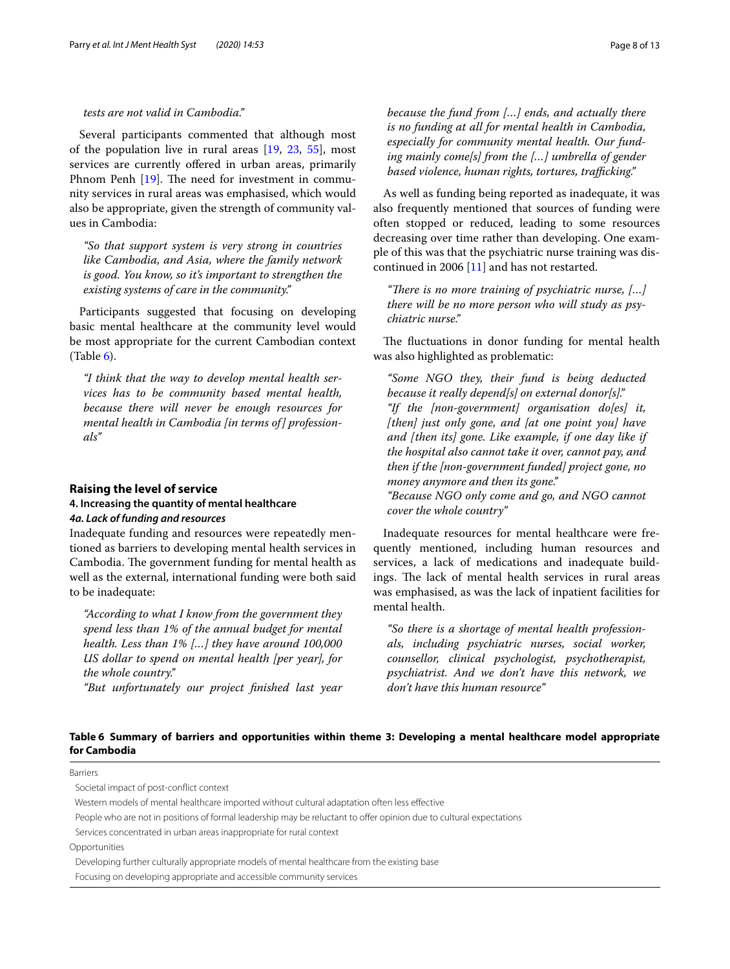#### *tests are not valid in Cambodia."*

Several participants commented that although most of the population live in rural areas [\[19,](#page-11-13) [23](#page-11-20), [55](#page-12-22)], most services are currently offered in urban areas, primarily Phnom Penh [[19\]](#page-11-13). The need for investment in community services in rural areas was emphasised, which would also be appropriate, given the strength of community values in Cambodia:

*"So that support system is very strong in countries like Cambodia, and Asia, where the family network is good. You know, so it's important to strengthen the existing systems of care in the community."*

Participants suggested that focusing on developing basic mental healthcare at the community level would be most appropriate for the current Cambodian context  $(Table 6)$  $(Table 6)$  $(Table 6)$ .

*"I think that the way to develop mental health services has to be community based mental health, because there will never be enough resources for mental health in Cambodia [in terms of] professionals"*

#### **Raising the level of service**

## **4. Increasing the quantity of mental healthcare** *4a. Lack of funding and resources*

Inadequate funding and resources were repeatedly mentioned as barriers to developing mental health services in Cambodia. The government funding for mental health as well as the external, international funding were both said to be inadequate:

*"According to what I know from the government they spend less than 1% of the annual budget for mental health. Less than 1% […] they have around 100,000 US dollar to spend on mental health [per year], for the whole country."*

*"But unfortunately our project fnished last year* 

*because the fund from […] ends, and actually there is no funding at all for mental health in Cambodia, especially for community mental health. Our fund*ing mainly come[s] from the [...] umbrella of gender based violence, human rights, tortures, trafficking."

As well as funding being reported as inadequate, it was also frequently mentioned that sources of funding were often stopped or reduced, leading to some resources decreasing over time rather than developing. One example of this was that the psychiatric nurse training was discontinued in 2006 [[11\]](#page-11-9) and has not restarted.

*"There is no more training of psychiatric nurse, [...] there will be no more person who will study as psychiatric nurse."*

The fluctuations in donor funding for mental health was also highlighted as problematic:

*"Some NGO they, their fund is being deducted because it really depend[s] on external donor[s]." "If the [non-government] organisation do[es] it, [then] just only gone, and [at one point you] have and [then its] gone. Like example, if one day like if the hospital also cannot take it over, cannot pay, and then if the [non-government funded] project gone, no money anymore and then its gone." "Because NGO only come and go, and NGO cannot cover the whole country"*

Inadequate resources for mental healthcare were frequently mentioned, including human resources and services, a lack of medications and inadequate buildings. The lack of mental health services in rural areas was emphasised, as was the lack of inpatient facilities for mental health.

*"So there is a shortage of mental health professionals, including psychiatric nurses, social worker, counsellor, clinical psychologist, psychotherapist, psychiatrist. And we don't have this network, we don't have this human resource"*

## <span id="page-7-0"></span>**Table 6 Summary of barriers and opportunities within theme 3: Developing a mental healthcare model appropriate for Cambodia**

Barriers

Societal impact of post-confict context

Western models of mental healthcare imported without cultural adaptation often less efective

People who are not in positions of formal leadership may be reluctant to offer opinion due to cultural expectations

Services concentrated in urban areas inappropriate for rural context

Opportunities

Developing further culturally appropriate models of mental healthcare from the existing base

Focusing on developing appropriate and accessible community services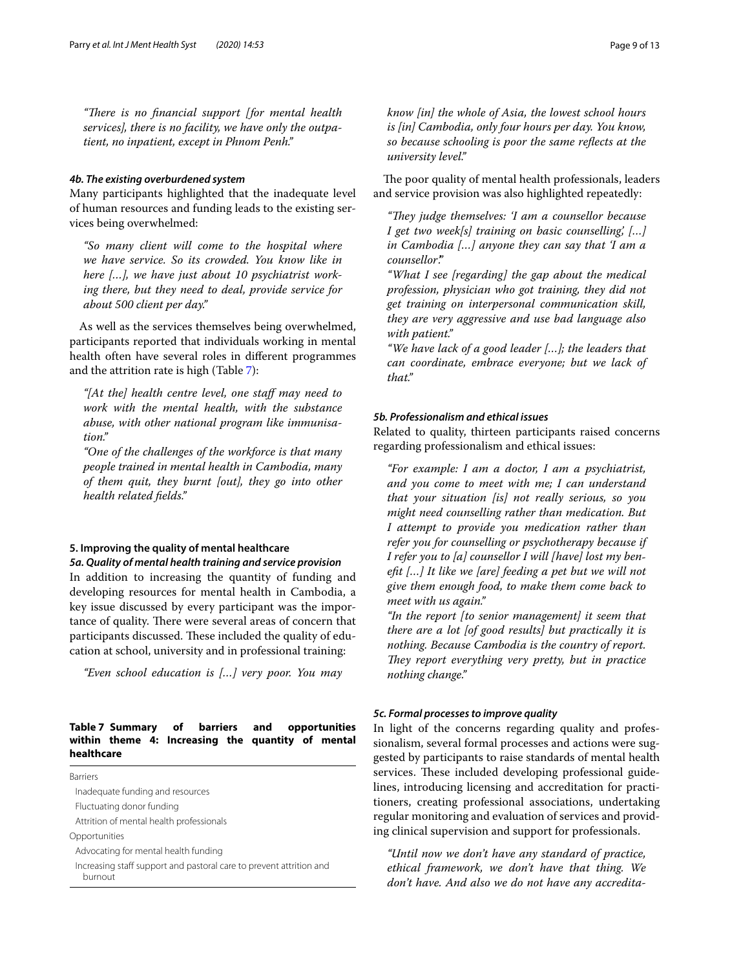"There is no financial support [for mental health *services], there is no facility, we have only the outpatient, no inpatient, except in Phnom Penh."*

#### *4b. The existing overburdened system*

Many participants highlighted that the inadequate level of human resources and funding leads to the existing services being overwhelmed:

*"So many client will come to the hospital where we have service. So its crowded. You know like in here […], we have just about 10 psychiatrist working there, but they need to deal, provide service for about 500 client per day."*

As well as the services themselves being overwhelmed, participants reported that individuals working in mental health often have several roles in diferent programmes and the attrition rate is high (Table [7\)](#page-8-0):

*"[At the] health centre level, one staf may need to work with the mental health, with the substance abuse, with other national program like immunisation."*

*"One of the challenges of the workforce is that many people trained in mental health in Cambodia, many of them quit, they burnt [out], they go into other health related felds."*

# **5. Improving the quality of mental healthcare**

*5a. Quality of mental health training and service provision* In addition to increasing the quantity of funding and developing resources for mental health in Cambodia, a key issue discussed by every participant was the importance of quality. There were several areas of concern that participants discussed. These included the quality of education at school, university and in professional training:

*"Even school education is […] very poor. You may* 

# <span id="page-8-0"></span>**Table 7 Summary of barriers and opportunities within theme 4: Increasing the quantity of mental healthcare**

Barriers

Inadequate funding and resources Fluctuating donor funding

Attrition of mental health professionals

Opportunities

Advocating for mental health funding

Increasing staff support and pastoral care to prevent attrition and burnout

*know [in] the whole of Asia, the lowest school hours is [in] Cambodia, only four hours per day. You know, so because schooling is poor the same refects at the university level."*

The poor quality of mental health professionals, leaders and service provision was also highlighted repeatedly:

*"Tey judge themselves: 'I am a counsellor because I get two week[s] training on basic counselling', […] in Cambodia […] anyone they can say that 'I am a counsellor'."*

*"What I see [regarding] the gap about the medical profession, physician who got training, they did not get training on interpersonal communication skill, they are very aggressive and use bad language also with patient."*

*"We have lack of a good leader […]; the leaders that can coordinate, embrace everyone; but we lack of that."*

#### *5b. Professionalism and ethical issues*

Related to quality, thirteen participants raised concerns regarding professionalism and ethical issues:

*"For example: I am a doctor, I am a psychiatrist, and you come to meet with me; I can understand that your situation [is] not really serious, so you might need counselling rather than medication. But I attempt to provide you medication rather than refer you for counselling or psychotherapy because if I refer you to [a] counsellor I will [have] lost my beneft […] It like we [are] feeding a pet but we will not give them enough food, to make them come back to meet with us again."*

*"In the report [to senior management] it seem that there are a lot [of good results] but practically it is nothing. Because Cambodia is the country of report.*  They report everything very pretty, but in practice *nothing change."*

#### *5c. Formal processes to improve quality*

In light of the concerns regarding quality and professionalism, several formal processes and actions were suggested by participants to raise standards of mental health services. These included developing professional guidelines, introducing licensing and accreditation for practitioners, creating professional associations, undertaking regular monitoring and evaluation of services and providing clinical supervision and support for professionals.

*"Until now we don't have any standard of practice, ethical framework, we don't have that thing. We don't have. And also we do not have any accredita-*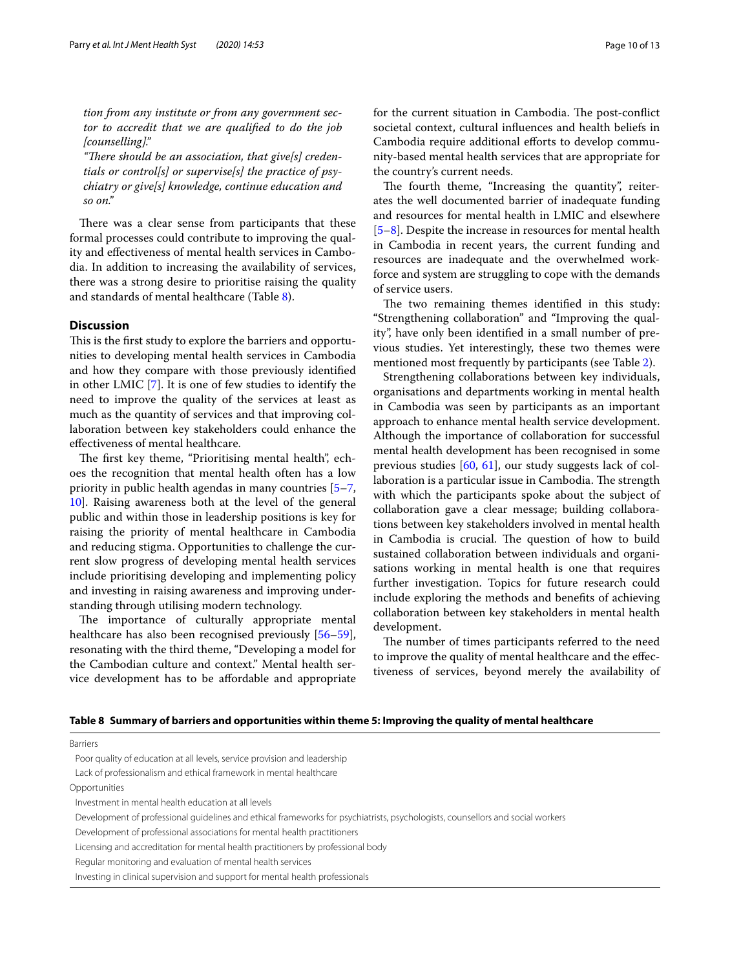*tion from any institute or from any government sector to accredit that we are qualifed to do the job [counselling]."*

"There should be an association, that give[s] creden*tials or control[s] or supervise[s] the practice of psychiatry or give[s] knowledge, continue education and so on."*

There was a clear sense from participants that these formal processes could contribute to improving the quality and efectiveness of mental health services in Cambodia. In addition to increasing the availability of services, there was a strong desire to prioritise raising the quality and standards of mental healthcare (Table [8\)](#page-9-0).

#### **Discussion**

This is the first study to explore the barriers and opportunities to developing mental health services in Cambodia and how they compare with those previously identifed in other LMIC [\[7](#page-11-29)]. It is one of few studies to identify the need to improve the quality of the services at least as much as the quantity of services and that improving collaboration between key stakeholders could enhance the efectiveness of mental healthcare.

The first key theme, "Prioritising mental health", echoes the recognition that mental health often has a low priority in public health agendas in many countries [[5](#page-11-5)[–7](#page-11-29), [10\]](#page-11-6). Raising awareness both at the level of the general public and within those in leadership positions is key for raising the priority of mental healthcare in Cambodia and reducing stigma. Opportunities to challenge the current slow progress of developing mental health services include prioritising developing and implementing policy and investing in raising awareness and improving understanding through utilising modern technology.

The importance of culturally appropriate mental healthcare has also been recognised previously [[56](#page-12-23)[–59](#page-12-24)], resonating with the third theme, "Developing a model for the Cambodian culture and context." Mental health service development has to be afordable and appropriate societal context, cultural infuences and health beliefs in Cambodia require additional efforts to develop community-based mental health services that are appropriate for the country's current needs.

The fourth theme, "Increasing the quantity", reiterates the well documented barrier of inadequate funding and resources for mental health in LMIC and elsewhere [[5–](#page-11-5)[8\]](#page-11-7). Despite the increase in resources for mental health in Cambodia in recent years, the current funding and resources are inadequate and the overwhelmed workforce and system are struggling to cope with the demands of service users.

The two remaining themes identified in this study: "Strengthening collaboration" and "Improving the quality", have only been identifed in a small number of previous studies. Yet interestingly, these two themes were mentioned most frequently by participants (see Table [2](#page-4-0)).

Strengthening collaborations between key individuals, organisations and departments working in mental health in Cambodia was seen by participants as an important approach to enhance mental health service development. Although the importance of collaboration for successful mental health development has been recognised in some previous studies [\[60,](#page-12-25) [61](#page-12-26)], our study suggests lack of collaboration is a particular issue in Cambodia. The strength with which the participants spoke about the subject of collaboration gave a clear message; building collaborations between key stakeholders involved in mental health in Cambodia is crucial. The question of how to build sustained collaboration between individuals and organisations working in mental health is one that requires further investigation. Topics for future research could include exploring the methods and benefts of achieving collaboration between key stakeholders in mental health development.

The number of times participants referred to the need to improve the quality of mental healthcare and the efectiveness of services, beyond merely the availability of

<span id="page-9-0"></span>

|  |  |  |  |  |  | Table 8   Summary of barriers and opportunities within theme 5: Improving the quality of mental healthcare |
|--|--|--|--|--|--|------------------------------------------------------------------------------------------------------------|
|--|--|--|--|--|--|------------------------------------------------------------------------------------------------------------|

Barriers

Poor quality of education at all levels, service provision and leadership

Lack of professionalism and ethical framework in mental healthcare

Opportunities

Investment in mental health education at all levels

Development of professional guidelines and ethical frameworks for psychiatrists, psychologists, counsellors and social workers

Development of professional associations for mental health practitioners

Licensing and accreditation for mental health practitioners by professional body

Regular monitoring and evaluation of mental health services

Investing in clinical supervision and support for mental health professionals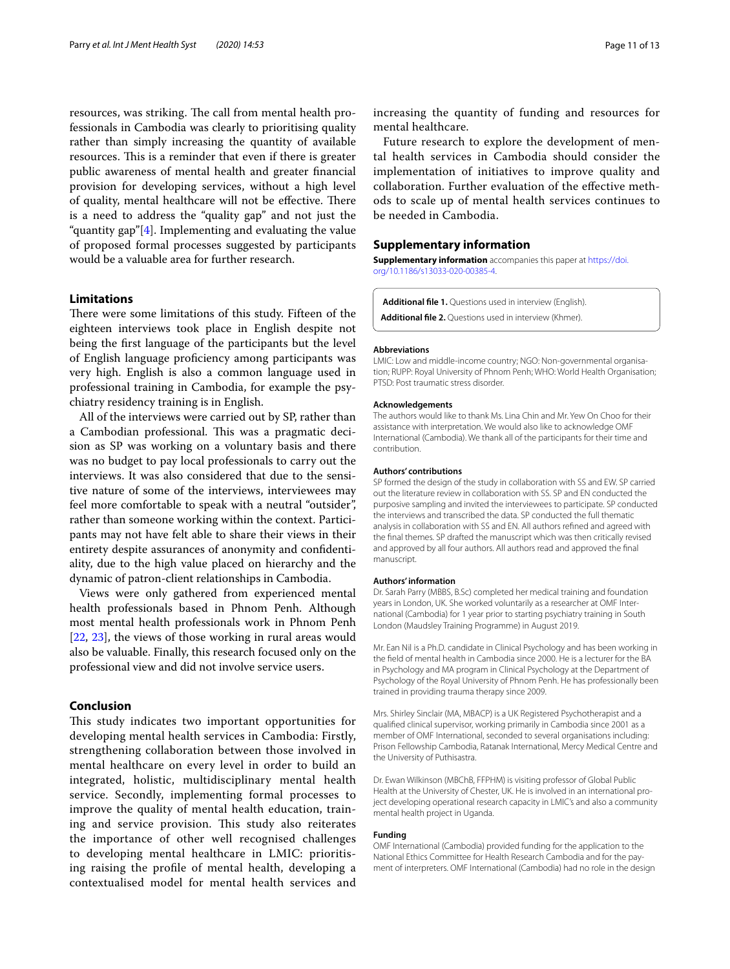resources, was striking. The call from mental health professionals in Cambodia was clearly to prioritising quality rather than simply increasing the quantity of available resources. This is a reminder that even if there is greater public awareness of mental health and greater fnancial provision for developing services, without a high level of quality, mental healthcare will not be effective. There is a need to address the "quality gap" and not just the "quantity gap" $[4]$  $[4]$ . Implementing and evaluating the value of proposed formal processes suggested by participants would be a valuable area for further research.

#### **Limitations**

There were some limitations of this study. Fifteen of the eighteen interviews took place in English despite not being the frst language of the participants but the level of English language profciency among participants was very high. English is also a common language used in professional training in Cambodia, for example the psychiatry residency training is in English.

All of the interviews were carried out by SP, rather than a Cambodian professional. This was a pragmatic decision as SP was working on a voluntary basis and there was no budget to pay local professionals to carry out the interviews. It was also considered that due to the sensitive nature of some of the interviews, interviewees may feel more comfortable to speak with a neutral "outsider", rather than someone working within the context. Participants may not have felt able to share their views in their entirety despite assurances of anonymity and confdentiality, due to the high value placed on hierarchy and the dynamic of patron-client relationships in Cambodia.

Views were only gathered from experienced mental health professionals based in Phnom Penh. Although most mental health professionals work in Phnom Penh [[22,](#page-11-19) [23\]](#page-11-20), the views of those working in rural areas would also be valuable. Finally, this research focused only on the professional view and did not involve service users.

#### **Conclusion**

This study indicates two important opportunities for developing mental health services in Cambodia: Firstly, strengthening collaboration between those involved in mental healthcare on every level in order to build an integrated, holistic, multidisciplinary mental health service. Secondly, implementing formal processes to improve the quality of mental health education, training and service provision. This study also reiterates the importance of other well recognised challenges to developing mental healthcare in LMIC: prioritising raising the profle of mental health, developing a contextualised model for mental health services and

increasing the quantity of funding and resources for mental healthcare.

Future research to explore the development of mental health services in Cambodia should consider the implementation of initiatives to improve quality and collaboration. Further evaluation of the efective methods to scale up of mental health services continues to be needed in Cambodia.

## **Supplementary information**

**Supplementary information** accompanies this paper at [https://doi.](https://doi.org/10.1186/s13033-020-00385-4) [org/10.1186/s13033-020-00385-4](https://doi.org/10.1186/s13033-020-00385-4).

<span id="page-10-1"></span><span id="page-10-0"></span>**Additional fle 1.** Questions used in interview (English). **Additional fle 2.** Questions used in interview (Khmer).

#### **Abbreviations**

LMIC: Low and middle-income country; NGO: Non-governmental organisation; RUPP: Royal University of Phnom Penh; WHO: World Health Organisation; PTSD: Post traumatic stress disorder.

#### **Acknowledgements**

The authors would like to thank Ms. Lina Chin and Mr. Yew On Choo for their assistance with interpretation. We would also like to acknowledge OMF International (Cambodia). We thank all of the participants for their time and contribution.

#### **Authors' contributions**

SP formed the design of the study in collaboration with SS and EW. SP carried out the literature review in collaboration with SS. SP and EN conducted the purposive sampling and invited the interviewees to participate. SP conducted the interviews and transcribed the data. SP conducted the full thematic analysis in collaboration with SS and EN. All authors refned and agreed with the fnal themes. SP drafted the manuscript which was then critically revised and approved by all four authors. All authors read and approved the fnal manuscript.

#### **Authors' information**

Dr. Sarah Parry (MBBS, B.Sc) completed her medical training and foundation years in London, UK. She worked voluntarily as a researcher at OMF International (Cambodia) for 1 year prior to starting psychiatry training in South London (Maudsley Training Programme) in August 2019.

Mr. Ean Nil is a Ph.D. candidate in Clinical Psychology and has been working in the feld of mental health in Cambodia since 2000. He is a lecturer for the BA in Psychology and MA program in Clinical Psychology at the Department of Psychology of the Royal University of Phnom Penh. He has professionally been trained in providing trauma therapy since 2009.

Mrs. Shirley Sinclair (MA, MBACP) is a UK Registered Psychotherapist and a qualifed clinical supervisor, working primarily in Cambodia since 2001 as a member of OMF International, seconded to several organisations including: Prison Fellowship Cambodia, Ratanak International, Mercy Medical Centre and the University of Puthisastra.

Dr. Ewan Wilkinson (MBChB, FFPHM) is visiting professor of Global Public Health at the University of Chester, UK. He is involved in an international project developing operational research capacity in LMIC's and also a community mental health project in Uganda.

#### **Funding**

OMF International (Cambodia) provided funding for the application to the National Ethics Committee for Health Research Cambodia and for the payment of interpreters. OMF International (Cambodia) had no role in the design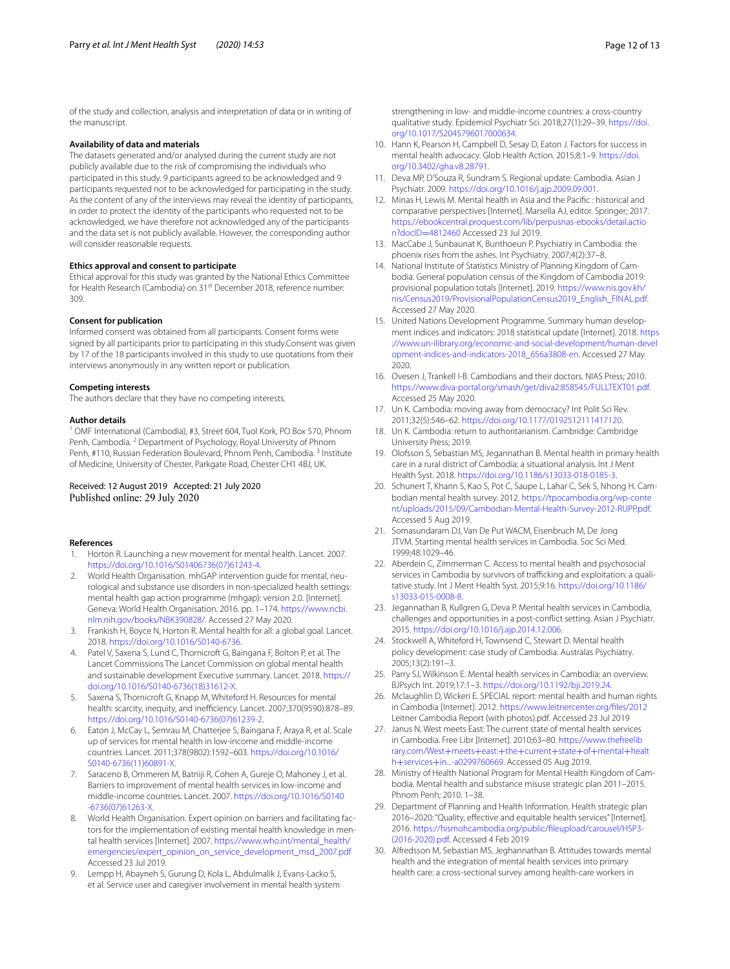of the study and collection, analysis and interpretation of data or in writing of the manuscript.

#### **Availability of data and materials**

The datasets generated and/or analysed during the current study are not publicly available due to the risk of compromising the individuals who participated in this study. 9 participants agreed to be acknowledged and 9 participants requested not to be acknowledged for participating in the study. As the content of any of the interviews may reveal the identity of participants, in order to protect the identity of the participants who requested not to be acknowledged, we have therefore not acknowledged any of the participants and the data set is not publicly available. However, the corresponding author will consider reasonable requests.

#### **Ethics approval and consent to participate**

Ethical approval for this study was granted by the National Ethics Committee for Health Research (Cambodia) on 31<sup>st</sup> December 2018, reference number: 309.

#### **Consent for publication**

Informed consent was obtained from all participants. Consent forms were signed by all participants prior to participating in this study.Consent was given by 17 of the 18 participants involved in this study to use quotations from their interviews anonymously in any written report or publication.

#### **Competing interests**

The authors declare that they have no competing interests.

#### **Author details**

<sup>1</sup> OMF International (Cambodia), #3, Street 604, Tuol Kork, PO Box 570, Phnom Penh, Cambodia.<sup>2</sup> Department of Psychology, Royal University of Phnom Penh, #110, Russian Federation Boulevard, Phnom Penh, Cambodia.<sup>3</sup> Institute of Medicine, University of Chester, Parkgate Road, Chester CH1 4BJ, UK.

#### Received: 12 August 2019 Accepted: 21 July 2020 Published online: 29 July 2020

#### **References**

- <span id="page-11-0"></span>1. Horton R. Launching a new movement for mental health. Lancet. 2007. [https://doi.org/10.1016/S01406736\(07\)61243-4.](https://doi.org/10.1016/S01406736(07)61243-4)
- <span id="page-11-1"></span>2. World Health Organisation. mhGAP intervention guide for mental, neurological and substance use disorders in non-specialized health settings: mental health gap action programme (mhgap): version 2.0. [Internet]. Geneva: World Health Organisation. 2016. pp. 1–174. [https://www.ncbi.](https://www.ncbi.nlm.nih.gov/books/NBK390828/) [nlm.nih.gov/books/NBK390828/](https://www.ncbi.nlm.nih.gov/books/NBK390828/). Accessed 27 May 2020.
- <span id="page-11-2"></span>3. Frankish H, Boyce N, Horton R. Mental health for all: a global goal. Lancet. 2018.<https://doi.org/10.1016/S0140-6736>.
- <span id="page-11-3"></span>4. Patel V, Saxena S, Lund C, Thornicroft G, Baingana F, Bolton P, et al. The Lancet Commissions The Lancet Commission on global mental health and sustainable development Executive summary. Lancet. 2018. [https://](https://doi.org/10.1016/S0140-6736(18)31612-X) [doi.org/10.1016/S0140-6736\(18\)31612-X](https://doi.org/10.1016/S0140-6736(18)31612-X).
- <span id="page-11-5"></span>5. Saxena S, Thornicroft G, Knapp M, Whiteford H. Resources for mental health: scarcity, inequity, and inefficiency. Lancet. 2007;370(9590):878-89. [https://doi.org/10.1016/S0140-6736\(07\)61239-2](https://doi.org/10.1016/S0140-6736(07)61239-2).
- <span id="page-11-4"></span>6. Eaton J, McCay L, Semrau M, Chatterjee S, Baingana F, Araya R, et al. Scale up of services for mental health in low-income and middle-income countries. Lancet. 2011;378(9802):1592–603. [https://doi.org/10.1016/](https://doi.org/10.1016/S0140-6736(11)60891-X) [S0140-6736\(11\)60891-X](https://doi.org/10.1016/S0140-6736(11)60891-X).
- <span id="page-11-29"></span>7. Saraceno B, Ommeren M, Batniji R, Cohen A, Gureje O, Mahoney J, et al. Barriers to improvement of mental health services in low-income and middle-income countries. Lancet. 2007. [https://doi.org/10.1016/S0140](https://doi.org/10.1016/S0140-6736(07)61263-X) [-6736\(07\)61263-X](https://doi.org/10.1016/S0140-6736(07)61263-X).
- <span id="page-11-7"></span>8. World Health Organisation. Expert opinion on barriers and facilitating factors for the implementation of existing mental health knowledge in mental health services [Internet]. 2007. [https://www.who.int/mental\\_health/](https://www.who.int/mental_health/emergencies/expert_opinion_on_service_development_msd_2007.pdf) [emergencies/expert\\_opinion\\_on\\_service\\_development\\_msd\\_2007.pdf](https://www.who.int/mental_health/emergencies/expert_opinion_on_service_development_msd_2007.pdf) Accessed 23 Jul 2019.
- <span id="page-11-8"></span>9. Lempp H, Abayneh S, Gurung D, Kola L, Abdulmalik J, Evans-Lacko S, et al. Service user and caregiver involvement in mental health system
- <span id="page-11-6"></span>10. Hann K, Pearson H, Campbell D, Sesay D, Eaton J. Factors for success in mental health advocacy. Glob Health Action. 2015;8:1–9. [https://doi.](https://doi.org/10.3402/gha.v8.28791) [org/10.3402/gha.v8.28791.](https://doi.org/10.3402/gha.v8.28791)
- <span id="page-11-9"></span>11. Deva MP, D'Souza R, Sundram S. Regional update: Cambodia. Asian J Psychiatr. 2009. [https://doi.org/10.1016/j.ajp.2009.09.001.](https://doi.org/10.1016/j.ajp.2009.09.001)
- <span id="page-11-22"></span>12. Minas H, Lewis M. Mental health in Asia and the Pacifc : historical and comparative perspectives [Internet]. Marsella AJ, editor. Springer; 2017. [https://ebookcentral.proquest.com/lib/perpusnas-ebooks/detail.actio](http://ebookcentral.proquest.com/lib/perpusnas-ebooks/detail.action?docID=4812460) n?docID=4812460 Accessed 23 Jul 2019.
- <span id="page-11-10"></span>13. [MacCabe J, Sunbau](http://ebookcentral.proquest.com/lib/perpusnas-ebooks/detail.action?docID=4812460)nat K, Bunthoeun P. Psychiatry in Cambodia: the phoenix rises from the ashes. Int Psychiatry. 2007;4(2):37–8.
- <span id="page-11-11"></span>14. National Institute of Statistics Ministry of Planning Kingdom of Cambodia. General population census of the Kingdom of Cambodia 2019: provisional population totals [Internet]. 2019. [https://www.nis.gov.kh/](http://www.nis.gov.kh/nis/Census2019/ProvisionalPopulationCensus2019_English_FINAL.pdf) [nis/Census2019/ProvisionalPopulationCensus2019\\_English\\_FINAL.pdf](http://www.nis.gov.kh/nis/Census2019/ProvisionalPopulationCensus2019_English_FINAL.pdf). Accessed 27 May 2020.
- <span id="page-11-12"></span>15. United Nations Development Programme. Summary human development indices and indicators: 2018 statistical update [Internet]. 2018. [https](http://www.un-ilibrary.org/economic-and-social-development/human-development-indices-and-indicators-2018_656a3808-en) [://www.un-ilibrary.org/economic-and-social-development/human-devel](http://www.un-ilibrary.org/economic-and-social-development/human-development-indices-and-indicators-2018_656a3808-en) [opment-indices-and-indicators-2018\\_656a3808-en](http://www.un-ilibrary.org/economic-and-social-development/human-development-indices-and-indicators-2018_656a3808-en). Accessed 27 May 2020.
- <span id="page-11-15"></span>16. Ovesen J, Trankell I-B. Cambodians and their doctors. NIAS Press; 2010. [https://www.diva-portal.org/smash/get/diva2:858545/FULLTEXT01.pdf.](https://www.diva-portal.org/smash/get/diva2:858545/FULLTEXT01.pdf) Accessed 25 May 2020.
- <span id="page-11-17"></span>17. Un K. Cambodia: moving away from democracy? Int Polit Sci Rev. 2011;32(5):546–62. <https://doi.org/10.1177/0192512111417120>.
- <span id="page-11-18"></span>18. Un K. Cambodia: return to authoritarianism. Cambridge: Cambridge University Press; 2019.
- <span id="page-11-13"></span>19. Olofsson S, Sebastian MS, Jegannathan B. Mental health in primary health care in a rural district of Cambodia: a situational analysis. Int J Ment Health Syst. 2018.<https://doi.org/10.1186/s13033-018-0185-3>.
- <span id="page-11-14"></span>20. Schunert T, Khann S, Kao S, Pot C, Saupe L, Lahar C, Sek S, Nhong H. Cambodian mental health survey. 2012. [https://tpocambodia.org/wp-conte](http://tpocambodia.org/wp-content/uploads/2015/09/Cambodian-Mental-Health-Survey-2012-RUPP.pdf) [nt/uploads/2015/09/Cambodian-Mental-Health-Survey-2012-RUPP.pdf](http://tpocambodia.org/wp-content/uploads/2015/09/Cambodian-Mental-Health-Survey-2012-RUPP.pdf). Accessed 5 Aug 2019.
- <span id="page-11-16"></span>21. Somasundaram DJ, Van De Put WACM, Eisenbruch M, De Jong JTVM. Starting mental health services in Cambodia. Soc Sci Med. 1999;48:1029–46.
- <span id="page-11-19"></span>22. Aberdein C, Zimmerman C. Access to mental health and psychosocial services in Cambodia by survivors of trafficking and exploitation: a qualitative study. Int J Ment Health Syst. 2015;9:16. [https://doi.org/10.1186/](https://doi.org/10.1186/s13033-015-0008-8) [s13033-015-0008-8.](https://doi.org/10.1186/s13033-015-0008-8)
- <span id="page-11-20"></span>23. Jegannathan B, Kullgren G, Deva P. Mental health services in Cambodia, challenges and opportunities in a post-confict setting. Asian J Psychiatr. 2015. [https://doi.org/10.1016/j.ajp.2014.12.006.](https://doi.org/10.1016/j.ajp.2014.12.006)
- <span id="page-11-23"></span>24. Stockwell A, Whiteford H, Townsend C, Stewart D. Mental health policy development: case study of Cambodia. Australas Psychiatry. 2005;13(2):191–3.
- <span id="page-11-21"></span>25. Parry SJ, Wilkinson E. Mental health services in Cambodia: an overview. BJPsych Int. 2019;17:1–3.<https://doi.org/10.1192/bji.2019.24>.
- <span id="page-11-24"></span>26. Mclaughlin D, Wickeri E. SPECIAL report: mental health and human rights in Cambodia [Internet]. 2012. [https://www.leitnercenter.org/fles/2012](http://www.leitnercenter.org/files/2012) Leitner Cambodia Report (with photos).pdf. Accessed 23 Jul 2019
- <span id="page-11-25"></span>27. Janus N. West meets East: The current state of mental health services in Cambodia. Free Libr [Internet]. 2010;63–80. [https://www.thefreelib](https://www.thefreelibrary.com/West+meets+east%3A+the+current+state+of+mental+health+services+in...-a0299760669) rary.com/West+meets+east:+the+current+state+of+mental+healt h+services+[in...-a0299760669. Accessed 05 Aug 2019.](https://www.thefreelibrary.com/West+meets+east%3A+the+current+state+of+mental+health+services+in...-a0299760669)
- <span id="page-11-26"></span>28. Ministry of Health National Program for Mental Health Kingdom of Cambodia. Mental health and substance misuse strategic plan 2011–2015. Phnom Penh; 2010. 1–38.
- <span id="page-11-27"></span>29. Department of Planning and Health Information. Health strategic plan 2016–2020: "Quality, effective and equitable health services" [Internet]. 2016. [https://hismohcambodia.org/public/fleupload/carousel/HSP3-](http://hismohcambodia.org/public/fileupload/carousel/HSP3-(2016-2020).pdf) [\(2016-2020\).pdf](http://hismohcambodia.org/public/fileupload/carousel/HSP3-(2016-2020).pdf). Accessed 4 Feb 2019
- <span id="page-11-28"></span>30. Alfredsson M, Sebastian MS, Jeghannathan B. Attitudes towards mental health and the integration of mental health services into primary health care: a cross-sectional survey among health-care workers in